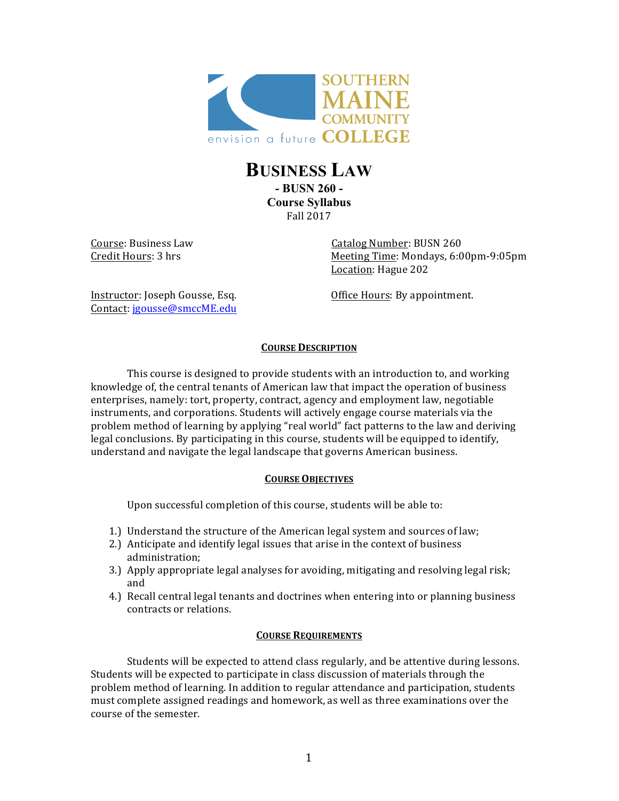

# **BUSINESS LAW - BUSN 260 - Course Syllabus**  Fall 2017

Course: Business Law Catalog Number: BUSN 260 Credit Hours: 3 hrs Meeting Time: Mondays, 6:00pm-9:05pm Location: Hague 202

Instructor: Joseph Gousse, Esq. Office Hours: By appointment. Contact: *jgousse@smccME.edu* 

# **COURSE DESCRIPTION**

This course is designed to provide students with an introduction to, and working knowledge of, the central tenants of American law that impact the operation of business enterprises, namely: tort, property, contract, agency and employment law, negotiable instruments, and corporations. Students will actively engage course materials via the problem method of learning by applying "real world" fact patterns to the law and deriving legal conclusions. By participating in this course, students will be equipped to identify, understand and navigate the legal landscape that governs American business.

# **COURSE OBJECTIVES**

Upon successful completion of this course, students will be able to:

- 1.) Understand the structure of the American legal system and sources of law;
- 2.) Anticipate and identify legal issues that arise in the context of business administration;
- 3.) Apply appropriate legal analyses for avoiding, mitigating and resolving legal risk; and
- 4.) Recall central legal tenants and doctrines when entering into or planning business contracts or relations.

# **COURSE REQUIREMENTS**

Students will be expected to attend class regularly, and be attentive during lessons. Students will be expected to participate in class discussion of materials through the problem method of learning. In addition to regular attendance and participation, students must complete assigned readings and homework, as well as three examinations over the course of the semester.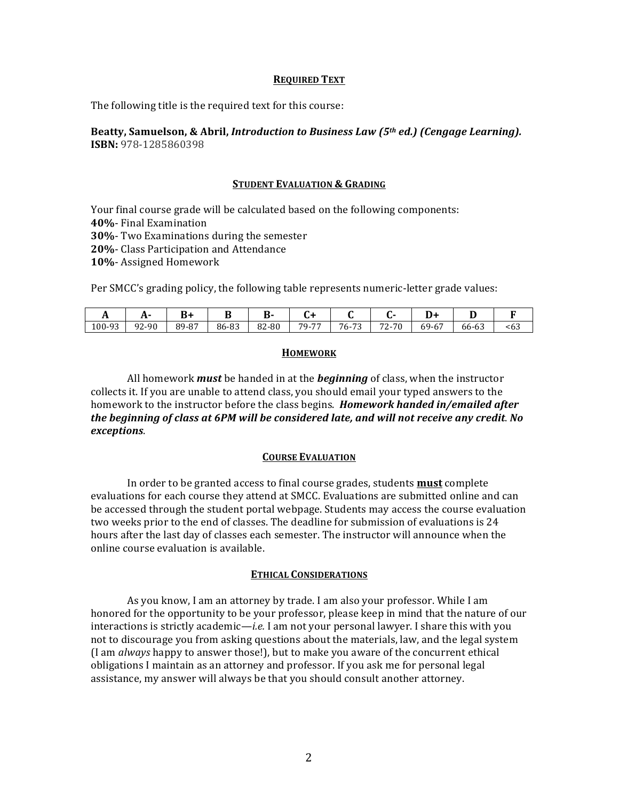### **REQUIRED TEXT**

The following title is the required text for this course:

## Beatty, Samuelson, & Abril, *Introduction to Business Law (5<sup>th</sup> ed.)* (*Cengage Learning*). **ISBN:** 978-1285860398

### **STUDENT EVALUATION & GRADING**

Your final course grade will be calculated based on the following components:

**40%**- Final Examination

**30%**- Two Examinations during the semester

**20%**- Class Participation and Attendance

10%- Assigned Homework

Per SMCC's grading policy, the following table represents numeric-letter grade values:

|        | $\ddot{\phantom{1}}$ | ᠇<br>D | ע     |       |                         |                              |                      | ╜                            |                        |            |
|--------|----------------------|--------|-------|-------|-------------------------|------------------------------|----------------------|------------------------------|------------------------|------------|
| 100-93 | 92-90                | 89-87  | 86-83 | 82-80 | $\overline{ }$<br>$79-$ | $\overline{a}$<br>$76 -$<br> | -0<br>70<br>۔ '<br>∼ | 69-6,<br>$\sim$ $\sim$<br>υ, | $\sim$ $\sim$<br>66-63 | . .<br><6ა |

### **HOMEWORK**

All homework *must* be handed in at the *beginning* of class, when the instructor collects it. If you are unable to attend class, you should email your typed answers to the homework to the instructor before the class begins. *Homework handed in/emailed after* the beginning of class at 6PM will be considered late, and will not receive any credit. No *exceptions*.

### **COURSE EVALUATION**

In order to be granted access to final course grades, students **must** complete evaluations for each course they attend at SMCC. Evaluations are submitted online and can be accessed through the student portal webpage. Students may access the course evaluation two weeks prior to the end of classes. The deadline for submission of evaluations is 24 hours after the last day of classes each semester. The instructor will announce when the online course evaluation is available.

### **ETHICAL CONSIDERATIONS**

As you know, I am an attorney by trade. I am also your professor. While I am honored for the opportunity to be your professor, please keep in mind that the nature of our interactions is strictly academic—*i.e.* I am not your personal lawyer. I share this with you not to discourage you from asking questions about the materials, law, and the legal system (I am *always* happy to answer those!), but to make you aware of the concurrent ethical obligations I maintain as an attorney and professor. If you ask me for personal legal assistance, my answer will always be that you should consult another attorney.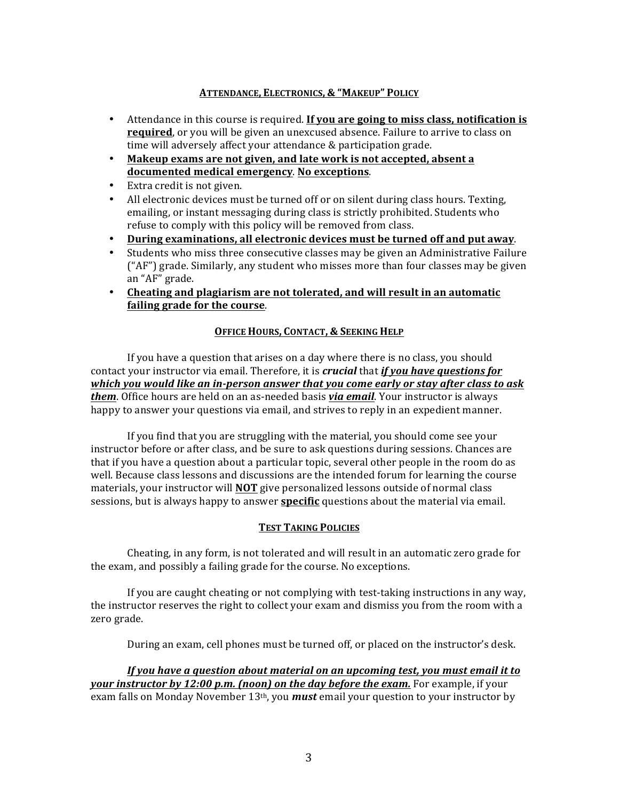## **ATTENDANCE, ELECTRONICS, & "MAKEUP" POLICY**

- Attendance in this course is required. If you are going to miss class, notification is **required**, or you will be given an unexcused absence. Failure to arrive to class on time will adversely affect your attendance & participation grade.
- **Makeup exams are not given, and late work is not accepted, absent a documented medical emergency**. **No exceptions**.
- Extra credit is not given.
- All electronic devices must be turned off or on silent during class hours. Texting, emailing, or instant messaging during class is strictly prohibited. Students who refuse to comply with this policy will be removed from class.
- **During examinations, all electronic devices must be turned off and put away.**
- Students who miss three consecutive classes may be given an Administrative Failure  $("AF")$  grade. Similarly, any student who misses more than four classes may be given an "AF" grade.
- Cheating and plagiarism are not tolerated, and will result in an automatic **failing grade for the course.**

# **OFFICE HOURS, CONTACT, & SEEKING HELP**

If you have a question that arises on a day where there is no class, you should contact your instructor via email. Therefore, it is *crucial* that *if you have questions for* which you would like an in-person answer that you come early or stay after class to ask *them*. Office hours are held on an as-needed basis *via email*. Your instructor is always happy to answer your questions via email, and strives to reply in an expedient manner.

If you find that you are struggling with the material, you should come see your instructor before or after class, and be sure to ask questions during sessions. Chances are that if you have a question about a particular topic, several other people in the room do as well. Because class lessons and discussions are the intended forum for learning the course materials, your instructor will **NOT** give personalized lessons outside of normal class sessions, but is always happy to answer **specific** questions about the material via email.

## **TEST TAKING POLICIES**

Cheating, in any form, is not tolerated and will result in an automatic zero grade for the exam, and possibly a failing grade for the course. No exceptions.

If you are caught cheating or not complying with test-taking instructions in any way, the instructor reserves the right to collect your exam and dismiss you from the room with a zero grade.

During an exam, cell phones must be turned off, or placed on the instructor's desk.

*If* you have a question about material on an upcoming test, you must email it to *your instructor by 12:00 p.m. (noon) on the day before the exam.* **For example, if your** exam falls on Monday November 13<sup>th</sup>, you **must** email your question to your instructor by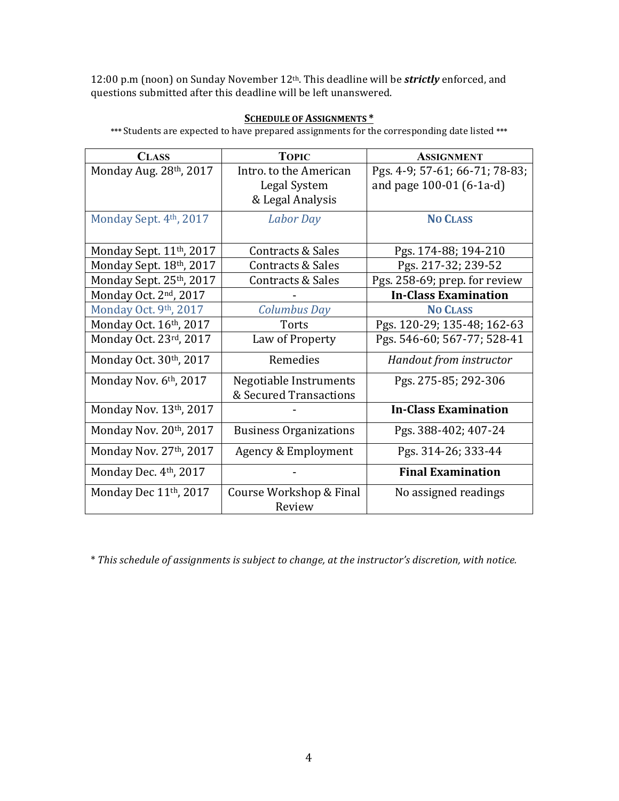12:00 p.m (noon) on Sunday November 12<sup>th</sup>. This deadline will be **strictly** enforced, and questions submitted after this deadline will be left unanswered.

## **SCHEDULE OF ASSIGNMENTS \***

\*\*\* Students are expected to have prepared assignments for the corresponding date listed \*\*\*

| <b>CLASS</b>                         | <b>TOPIC</b>                  | <b>ASSIGNMENT</b>              |
|--------------------------------------|-------------------------------|--------------------------------|
| Monday Aug. 28th, 2017               | Intro. to the American        | Pgs. 4-9; 57-61; 66-71; 78-83; |
|                                      | Legal System                  | and page 100-01 (6-1a-d)       |
|                                      | & Legal Analysis              |                                |
| Monday Sept. 4th, 2017               | <b>Labor Day</b>              | <b>NO CLASS</b>                |
|                                      |                               |                                |
| Monday Sept. 11 <sup>th</sup> , 2017 | Contracts & Sales             | Pgs. 174-88; 194-210           |
| Monday Sept. 18th, 2017              | Contracts & Sales             | Pgs. 217-32; 239-52            |
| Monday Sept. 25th, 2017              | Contracts & Sales             | Pgs. 258-69; prep. for review  |
| Monday Oct. 2 <sup>nd</sup> , 2017   |                               | <b>In-Class Examination</b>    |
| Monday Oct. 9th, 2017                | Columbus Day                  | <b>NO CLASS</b>                |
| Monday Oct. 16th, 2017               | <b>Torts</b>                  | Pgs. 120-29; 135-48; 162-63    |
| Monday Oct. 23rd, 2017               | Law of Property               | Pgs. 546-60; 567-77; 528-41    |
| Monday Oct. 30 <sup>th</sup> , 2017  | Remedies                      | Handout from instructor        |
| Monday Nov. $6th$ , 2017             | Negotiable Instruments        | Pgs. 275-85; 292-306           |
|                                      | & Secured Transactions        |                                |
| Monday Nov. 13th, 2017               |                               | <b>In-Class Examination</b>    |
| Monday Nov. 20th, 2017               | <b>Business Organizations</b> | Pgs. 388-402; 407-24           |
| Monday Nov. 27th, 2017               | Agency & Employment           | Pgs. 314-26; 333-44            |
| Monday Dec. 4 <sup>th</sup> , 2017   |                               | <b>Final Examination</b>       |
| Monday Dec 11 <sup>th</sup> , 2017   | Course Workshop & Final       | No assigned readings           |
|                                      | Review                        |                                |

\* *This schedule of assignments is subject to change, at the instructor's discretion, with notice.*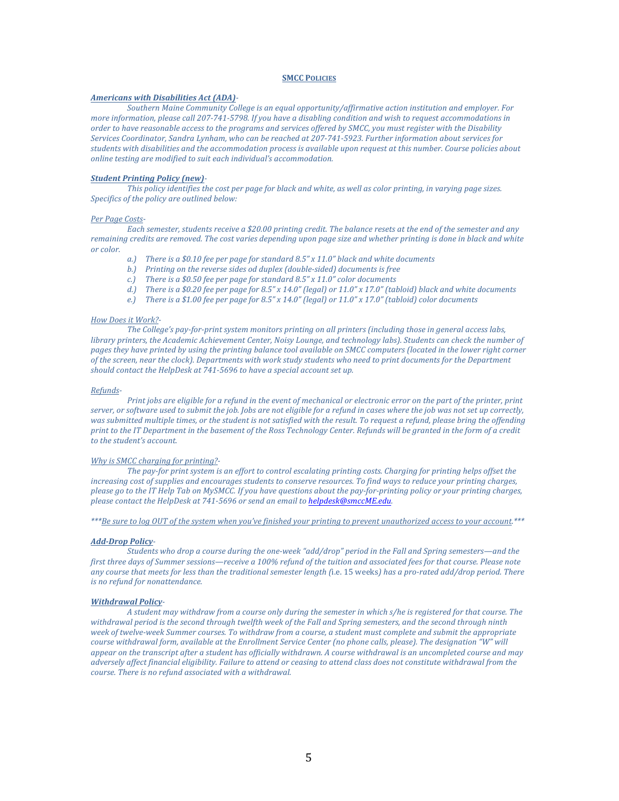### **SMCC POLICIES**

#### *Americans with Disabilities Act (ADA)-*

Southern Maine Community College is an equal opportunity/affirmative action institution and employer. For *more information, please call 207-741-5798. If you have a disabling condition and wish to request accommodations in order to have reasonable access to the programs and services offered by SMCC, you must register with the Disability* Services Coordinator, Sandra Lynham, who can be reached at 207-741-5923. Further information about services for students with disabilities and the accommodation process is available upon request at this number. Course policies about *online testing are modified to suit each individual's accommodation.* 

### *Student Printing Policy (new)-*

*This* policy identifies the cost per page for black and white, as well as color printing, in varying page sizes. Specifics of the policy are outlined below:

#### Per Page Costs-

Each semester, students receive a \$20.00 printing credit. The balance resets at the end of the semester and any remaining credits are removed. The cost varies depending upon page size and whether printing is done in black and white *or color.* 

- *a.*) There is a \$0.10 fee per page for standard 8.5" x 11.0" black and white documents
- *b.*) Printing on the reverse sides od duplex (double-sided) documents is free
- *c.*) There is a \$0.50 fee per page for standard 8.5" x 11.0" color documents
- *d.*) There is a \$0.20 fee per page for 8.5" x 14.0" (legal) or 11.0" x 17.0" (tabloid) black and white documents
- *e.*) There is a \$1.00 fee per page for  $8.5''$  x  $14.0''$  (legal) or  $11.0''$  x  $17.0''$  (tabloid) color documents

#### *How Does it Work?-*

The College's pay-for-print system monitors printing on all printers (including those in general access labs, *library printers, the Academic Achievement Center, Noisy Lounge, and technology labs). Students can check the number of* pages they have printed by using the printing balance tool available on SMCC computers (located in the lower right corner of the screen, near the clock). Departments with work study students who need to print documents for the Department should contact the HelpDesk at 741-5696 to have a special account set up.

### *Refunds-*

*Print jobs* are eligible for a refund in the event of mechanical or electronic error on the part of the printer, print server, or software used to submit the job. Jobs are not eligible for a refund in cases where the job was not set up correctly, was submitted multiple times, or the student is not satisfied with the result. To request a refund, please bring the offending *print* to the IT Department in the basement of the Ross Technology Center. Refunds will be granted in the form of a credit to the student's account.

#### *Why is SMCC charging for printing?-*

*The pay-for print system is an effort to control escalating printing costs. Charging for printing helps offset the increasing cost of supplies and encourages students to conserve resources. To find ways to reduce your printing charges,* please go to the IT Help Tab on MySMCC. If you have questions about the pay-for-printing policy or your printing charges, please contact the HelpDesk at 741-5696 or send an email to **helpdesk@smccME.edu**.

\*\*\*Be sure to log OUT of the system when you've finished your printing to prevent unauthorized access to your account.\*\*\*

#### *Add-Drop Policy-*

*Students* who drop a course during the one-week "add/drop" period in the Fall and Spring semesters—and the first three days of Summer sessions—receive a 100% refund of the tuition and associated fees for that course. Please note any course that meets for less than the traditional semester length (i.e. 15 weeks) has a pro-rated add/drop period. There *is no refund for nonattendance.* 

### **Withdrawal Policy-**

*A* student may withdraw from a course only during the semester in which s/he is registered for that course. The withdrawal period is the second through twelfth week of the Fall and Spring semesters, and the second through ninth week of twelve-week Summer courses. To withdraw from a course, a student must complete and submit the appropriate *course* withdrawal form, available at the Enrollment Service Center (no phone calls, please). The designation "W" will appear on the transcript after a student has officially withdrawn. A course withdrawal is an uncompleted course and may *adversely affect financial eligibility.* Failure to attend or ceasing to attend class does not constitute withdrawal from the *course. There is no refund associated with a withdrawal.*